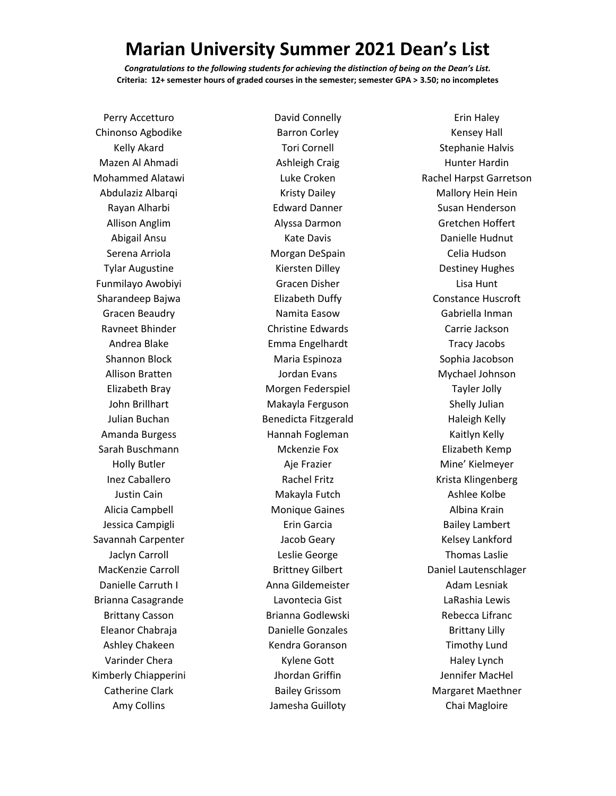## **Marian University Summer 2021 Dean's List**

*Congratulations to the following students for achieving the distinction of being on the Dean's List.* **Criteria: 12+ semester hours of graded courses in the semester; semester GPA > 3.50; no incompletes**

Perry Accetturo Chinonso Agbodike Kelly Akard Mazen Al Ahmadi Mohammed Alatawi Abdulaziz Albarqi Rayan Alharbi Allison Anglim Abigail Ansu Serena Arriola Tylar Augustine Funmilayo Awobiyi Sharandeep Bajwa Gracen Beaudry Ravneet Bhinder Andrea Blake Shannon Block Allison Bratten Elizabeth Bray John Brillhart Julian Buchan Amanda Burgess Sarah Buschmann Holly Butler Inez Caballero Justin Cain Alicia Campbell Jessica Campigli Savannah Carpenter Jaclyn Carroll MacKenzie Carroll Danielle Carruth I Brianna Casagrande Brittany Casson Eleanor Chabraja Ashley Chakeen Varinder Chera Kimberly Chiapperini Catherine Clark Amy Collins

David Connelly Barron Corley Tori Cornell Ashleigh Craig Luke Croken Kristy Dailey Edward Danner Alyssa Darmon Kate Davis Morgan DeSpain Kiersten Dilley Gracen Disher Elizabeth Duffy Namita Easow Christine Edwards Emma Engelhardt Maria Espinoza Jordan Evans Morgen Federspiel Makayla Ferguson Benedicta Fitzgerald Hannah Fogleman Mckenzie Fox Aje Frazier Rachel Fritz Makayla Futch Monique Gaines Erin Garcia Jacob Geary Leslie George Brittney Gilbert Anna Gildemeister Lavontecia Gist Brianna Godlewski Danielle Gonzales Kendra Goranson Kylene Gott Jhordan Griffin Bailey Grissom Jamesha Guilloty

Erin Haley Kensey Hall Stephanie Halvis Hunter Hardin Rachel Harpst Garretson Mallory Hein Hein Susan Henderson Gretchen Hoffert Danielle Hudnut Celia Hudson Destiney Hughes Lisa Hunt Constance Huscroft Gabriella Inman Carrie Jackson Tracy Jacobs Sophia Jacobson Mychael Johnson Tayler Jolly Shelly Julian Haleigh Kelly Kaitlyn Kelly Elizabeth Kemp Mine' Kielmeyer Krista Klingenberg Ashlee Kolbe Albina Krain Bailey Lambert Kelsey Lankford Thomas Laslie Daniel Lautenschlager Adam Lesniak LaRashia Lewis Rebecca Lifranc Brittany Lilly Timothy Lund Haley Lynch Jennifer MacHel Margaret Maethner Chai Magloire